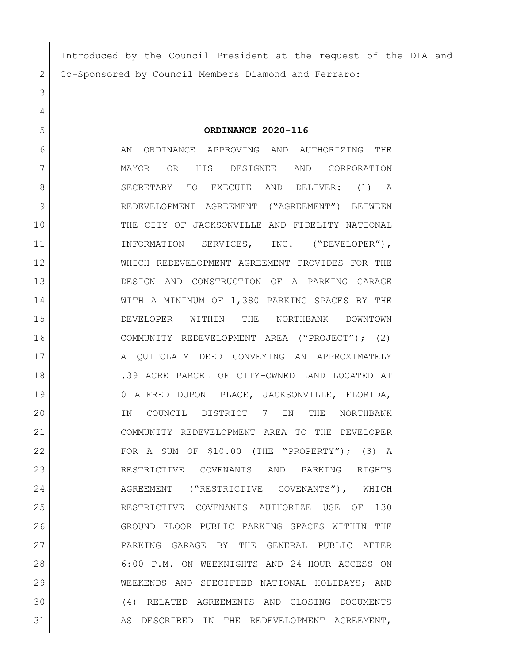| 1  | Introduced by the Council President at the request of the DIA and |
|----|-------------------------------------------------------------------|
| 2  | Co-Sponsored by Council Members Diamond and Ferraro:              |
| 3  |                                                                   |
| 4  |                                                                   |
| 5  | ORDINANCE 2020-116                                                |
| 6  | AN<br>ORDINANCE APPROVING AND AUTHORIZING<br>THE                  |
| 7  | OR<br>HIS DESIGNEE<br>AND<br>CORPORATION<br>MAYOR                 |
| 8  | SECRETARY<br>TO<br>EXECUTE AND<br>DELIVER:<br>$(1)$ A             |
| 9  | REDEVELOPMENT AGREEMENT ("AGREEMENT") BETWEEN                     |
| 10 | THE CITY OF JACKSONVILLE AND FIDELITY NATIONAL                    |
| 11 | SERVICES, INC. ("DEVELOPER"),<br>INFORMATION                      |
| 12 | WHICH REDEVELOPMENT AGREEMENT PROVIDES FOR THE                    |
| 13 | DESIGN AND CONSTRUCTION OF A PARKING GARAGE                       |
| 14 | WITH A MINIMUM OF 1,380 PARKING SPACES BY THE                     |
| 15 | THE<br>NORTHBANK<br>DEVELOPER<br>WITHIN<br>DOWNTOWN               |
| 16 | COMMUNITY REDEVELOPMENT AREA ("PROJECT"); (2)                     |
| 17 | A QUITCLAIM DEED CONVEYING AN APPROXIMATELY                       |
| 18 | .39 ACRE PARCEL OF CITY-OWNED LAND LOCATED AT                     |
| 19 | 0 ALFRED DUPONT PLACE, JACKSONVILLE, FLORIDA,                     |
| 20 | COUNCIL<br>DISTRICT 7<br>THE<br>NORTHBANK<br>IN<br>IN             |
| 21 | COMMUNITY REDEVELOPMENT AREA TO THE DEVELOPER                     |
| 22 | FOR A SUM OF \$10.00 (THE "PROPERTY"); (3) A                      |
| 23 | RESTRICTIVE COVENANTS AND PARKING RIGHTS                          |
| 24 | AGREEMENT ("RESTRICTIVE COVENANTS"), WHICH                        |
| 25 | RESTRICTIVE COVENANTS AUTHORIZE USE OF 130                        |
| 26 | GROUND FLOOR PUBLIC PARKING SPACES WITHIN THE                     |
| 27 | PARKING GARAGE BY THE GENERAL PUBLIC AFTER                        |
| 28 | 6:00 P.M. ON WEEKNIGHTS AND 24-HOUR ACCESS ON                     |
| 29 | WEEKENDS AND SPECIFIED NATIONAL HOLIDAYS; AND                     |
| 30 | (4) RELATED AGREEMENTS AND CLOSING DOCUMENTS                      |
| 31 | AS DESCRIBED IN THE REDEVELOPMENT AGREEMENT,                      |
|    |                                                                   |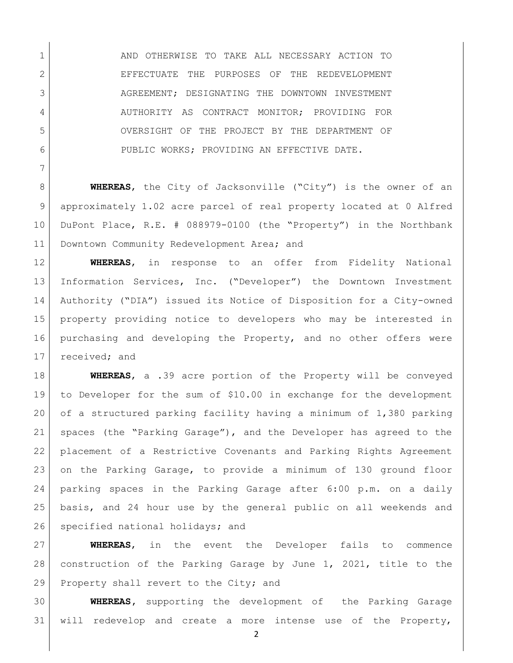AND OTHERWISE TO TAKE ALL NECESSARY ACTION TO 2 EFFECTUATE THE PURPOSES OF THE REDEVELOPMENT 3 AGREEMENT; DESIGNATING THE DOWNTOWN INVESTMENT 4 AUTHORITY AS CONTRACT MONITOR; PROVIDING FOR OVERSIGHT OF THE PROJECT BY THE DEPARTMENT OF PUBLIC WORKS; PROVIDING AN EFFECTIVE DATE.

 **WHEREAS**, the City of Jacksonville ("City") is the owner of an approximately 1.02 acre parcel of real property located at 0 Alfred DuPont Place, R.E. # 088979-0100 (the "Property") in the Northbank 11 Downtown Community Redevelopment Area; and

 **WHEREAS**, in response to an offer from Fidelity National Information Services, Inc. ("Developer") the Downtown Investment Authority ("DIA") issued its Notice of Disposition for a City-owned property providing notice to developers who may be interested in purchasing and developing the Property, and no other offers were 17 received; and

 **WHEREAS**, a .39 acre portion of the Property will be conveyed to Developer for the sum of \$10.00 in exchange for the development of a structured parking facility having a minimum of 1,380 parking spaces (the "Parking Garage"), and the Developer has agreed to the placement of a Restrictive Covenants and Parking Rights Agreement on the Parking Garage, to provide a minimum of 130 ground floor parking spaces in the Parking Garage after 6:00 p.m. on a daily basis, and 24 hour use by the general public on all weekends and 26 specified national holidays; and

 **WHEREAS**, in the event the Developer fails to commence construction of the Parking Garage by June 1, 2021, title to the 29 Property shall revert to the City; and

 **WHEREAS,** supporting the development of the Parking Garage will redevelop and create a more intense use of the Property,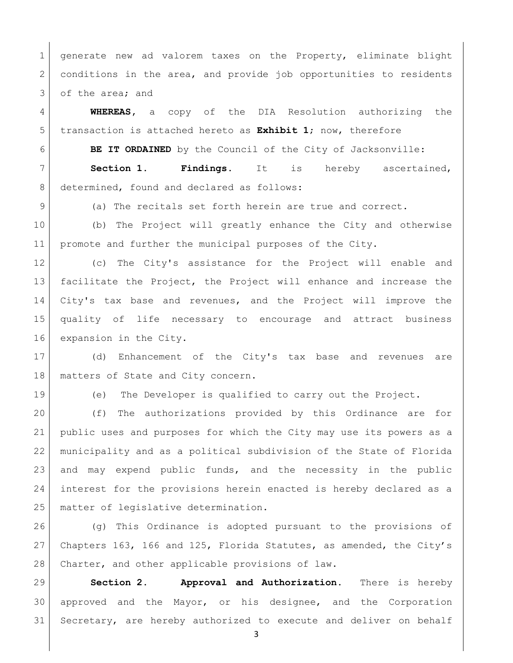generate new ad valorem taxes on the Property, eliminate blight 2 conditions in the area, and provide job opportunities to residents 3 of the area; and

 **WHEREAS,** a copy of the DIA Resolution authorizing the transaction is attached hereto as **Exhibit 1**; now, therefore

**BE IT ORDAINED** by the Council of the City of Jacksonville:

 **Section 1. Findings.** It is hereby ascertained, 8 determined, found and declared as follows:

9 (a) The recitals set forth herein are true and correct.

 (b) The Project will greatly enhance the City and otherwise promote and further the municipal purposes of the City.

 (c) The City's assistance for the Project will enable and facilitate the Project, the Project will enhance and increase the City's tax base and revenues, and the Project will improve the quality of life necessary to encourage and attract business 16 expansion in the City.

 (d) Enhancement of the City's tax base and revenues are 18 | matters of State and City concern.

(e) The Developer is qualified to carry out the Project.

 (f) The authorizations provided by this Ordinance are for public uses and purposes for which the City may use its powers as a municipality and as a political subdivision of the State of Florida and may expend public funds, and the necessity in the public interest for the provisions herein enacted is hereby declared as a matter of legislative determination.

 (g) This Ordinance is adopted pursuant to the provisions of Chapters 163, 166 and 125, Florida Statutes, as amended, the City's 28 Charter, and other applicable provisions of law.

 **Section 2. Approval and Authorization.** There is hereby approved and the Mayor, or his designee, and the Corporation Secretary, are hereby authorized to execute and deliver on behalf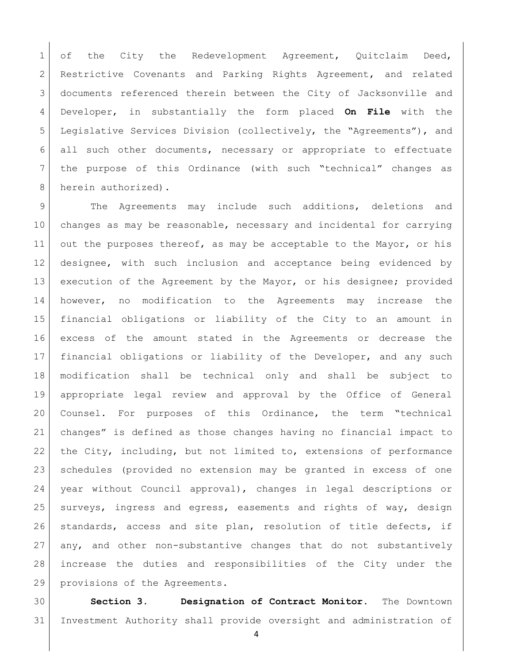of the City the Redevelopment Agreement, Quitclaim Deed, Restrictive Covenants and Parking Rights Agreement, and related 3 documents referenced therein between the City of Jacksonville and Developer, in substantially the form placed **On File** with the Legislative Services Division (collectively, the "Agreements"), and all such other documents, necessary or appropriate to effectuate the purpose of this Ordinance (with such "technical" changes as 8 herein authorized).

 The Agreements may include such additions, deletions and changes as may be reasonable, necessary and incidental for carrying 11 out the purposes thereof, as may be acceptable to the Mayor, or his designee, with such inclusion and acceptance being evidenced by 13 execution of the Agreement by the Mayor, or his designee; provided however, no modification to the Agreements may increase the financial obligations or liability of the City to an amount in excess of the amount stated in the Agreements or decrease the financial obligations or liability of the Developer, and any such modification shall be technical only and shall be subject to appropriate legal review and approval by the Office of General Counsel. For purposes of this Ordinance, the term "technical changes" is defined as those changes having no financial impact to the City, including, but not limited to, extensions of performance schedules (provided no extension may be granted in excess of one year without Council approval), changes in legal descriptions or surveys, ingress and egress, easements and rights of way, design standards, access and site plan, resolution of title defects, if any, and other non-substantive changes that do not substantively increase the duties and responsibilities of the City under the provisions of the Agreements.

 **Section 3. Designation of Contract Monitor.** The Downtown Investment Authority shall provide oversight and administration of